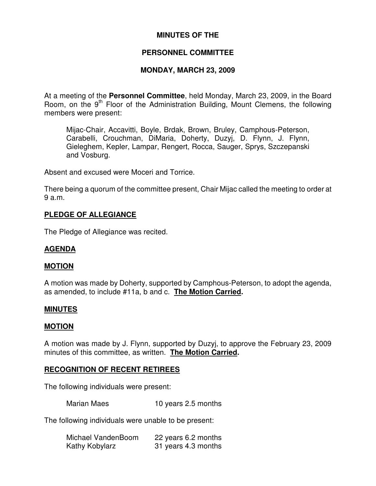# **MINUTES OF THE**

# **PERSONNEL COMMITTEE**

## **MONDAY, MARCH 23, 2009**

At a meeting of the **Personnel Committee**, held Monday, March 23, 2009, in the Board Room, on the 9<sup>th</sup> Floor of the Administration Building, Mount Clemens, the following members were present:

Mijac-Chair, Accavitti, Boyle, Brdak, Brown, Bruley, Camphous-Peterson, Carabelli, Crouchman, DiMaria, Doherty, Duzyj, D. Flynn, J. Flynn, Gieleghem, Kepler, Lampar, Rengert, Rocca, Sauger, Sprys, Szczepanski and Vosburg.

Absent and excused were Moceri and Torrice.

There being a quorum of the committee present, Chair Mijac called the meeting to order at 9 a.m.

# **PLEDGE OF ALLEGIANCE**

The Pledge of Allegiance was recited.

# **AGENDA**

## **MOTION**

A motion was made by Doherty, supported by Camphous-Peterson, to adopt the agenda, as amended, to include #11a, b and c. **The Motion Carried.**

## **MINUTES**

## **MOTION**

A motion was made by J. Flynn, supported by Duzyj, to approve the February 23, 2009 minutes of this committee, as written. **The Motion Carried.**

## **RECOGNITION OF RECENT RETIREES**

The following individuals were present:

Marian Maes 10 years 2.5 months

The following individuals were unable to be present:

| Michael VandenBoom | 22 years 6.2 months |
|--------------------|---------------------|
| Kathy Kobylarz     | 31 years 4.3 months |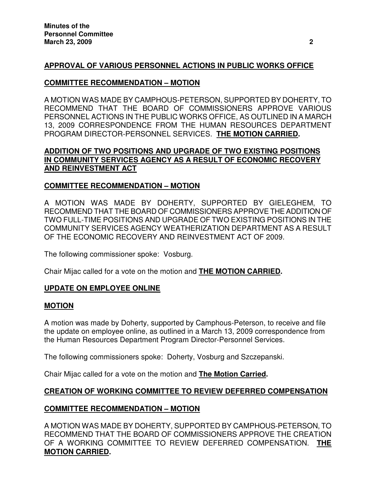# **APPROVAL OF VARIOUS PERSONNEL ACTIONS IN PUBLIC WORKS OFFICE**

# **COMMITTEE RECOMMENDATION – MOTION**

A MOTION WAS MADE BY CAMPHOUS-PETERSON, SUPPORTED BY DOHERTY, TO RECOMMEND THAT THE BOARD OF COMMISSIONERS APPROVE VARIOUS PERSONNEL ACTIONS IN THE PUBLIC WORKS OFFICE, AS OUTLINED IN A MARCH 13, 2009 CORRESPONDENCE FROM THE HUMAN RESOURCES DEPARTMENT PROGRAM DIRECTOR-PERSONNEL SERVICES. **THE MOTION CARRIED.**

# **ADDITION OF TWO POSITIONS AND UPGRADE OF TWO EXISTING POSITIONS IN COMMUNITY SERVICES AGENCY AS A RESULT OF ECONOMIC RECOVERY AND REINVESTMENT ACT**

# **COMMITTEE RECOMMENDATION – MOTION**

A MOTION WAS MADE BY DOHERTY, SUPPORTED BY GIELEGHEM, TO RECOMMEND THAT THE BOARD OF COMMISSIONERS APPROVE THE ADDITION OF TWO FULL-TIME POSITIONS AND UPGRADE OF TWO EXISTING POSITIONS IN THE COMMUNITY SERVICES AGENCY WEATHERIZATION DEPARTMENT AS A RESULT OF THE ECONOMIC RECOVERY AND REINVESTMENT ACT OF 2009.

The following commissioner spoke: Vosburg.

Chair Mijac called for a vote on the motion and **THE MOTION CARRIED.**

# **UPDATE ON EMPLOYEE ONLINE**

## **MOTION**

A motion was made by Doherty, supported by Camphous-Peterson, to receive and file the update on employee online, as outlined in a March 13, 2009 correspondence from the Human Resources Department Program Director-Personnel Services.

The following commissioners spoke: Doherty, Vosburg and Szczepanski.

Chair Mijac called for a vote on the motion and **The Motion Carried.**

# **CREATION OF WORKING COMMITTEE TO REVIEW DEFERRED COMPENSATION**

## **COMMITTEE RECOMMENDATION – MOTION**

A MOTION WAS MADE BY DOHERTY, SUPPORTED BY CAMPHOUS-PETERSON, TO RECOMMEND THAT THE BOARD OF COMMISSIONERS APPROVE THE CREATION OF A WORKING COMMITTEE TO REVIEW DEFERRED COMPENSATION. **THE MOTION CARRIED.**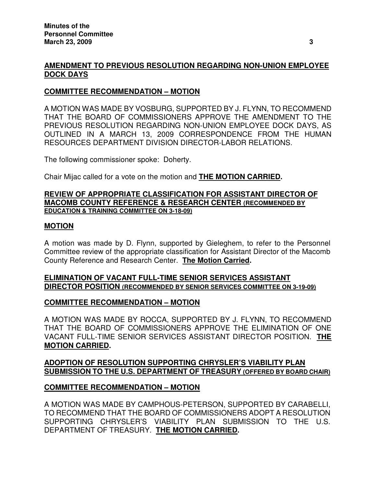# **AMENDMENT TO PREVIOUS RESOLUTION REGARDING NON-UNION EMPLOYEE DOCK DAYS**

## **COMMITTEE RECOMMENDATION – MOTION**

A MOTION WAS MADE BY VOSBURG, SUPPORTED BY J. FLYNN, TO RECOMMEND THAT THE BOARD OF COMMISSIONERS APPROVE THE AMENDMENT TO THE PREVIOUS RESOLUTION REGARDING NON-UNION EMPLOYEE DOCK DAYS, AS OUTLINED IN A MARCH 13, 2009 CORRESPONDENCE FROM THE HUMAN RESOURCES DEPARTMENT DIVISION DIRECTOR-LABOR RELATIONS.

The following commissioner spoke: Doherty.

Chair Mijac called for a vote on the motion and **THE MOTION CARRIED.**

#### **REVIEW OF APPROPRIATE CLASSIFICATION FOR ASSISTANT DIRECTOR OF MACOMB COUNTY REFERENCE & RESEARCH CENTER (RECOMMENDED BY EDUCATION & TRAINING COMMITTEE ON 3-18-09)**

#### **MOTION**

A motion was made by D. Flynn, supported by Gieleghem, to refer to the Personnel Committee review of the appropriate classification for Assistant Director of the Macomb County Reference and Research Center. **The Motion Carried.**

# **ELIMINATION OF VACANT FULL-TIME SENIOR SERVICES ASSISTANT DIRECTOR POSITION (RECOMMENDED BY SENIOR SERVICES COMMITTEE ON 3-19-09)**

## **COMMITTEE RECOMMENDATION – MOTION**

A MOTION WAS MADE BY ROCCA, SUPPORTED BY J. FLYNN, TO RECOMMEND THAT THE BOARD OF COMMISSIONERS APPROVE THE ELIMINATION OF ONE VACANT FULL-TIME SENIOR SERVICES ASSISTANT DIRECTOR POSITION. **THE MOTION CARRIED.**

# **ADOPTION OF RESOLUTION SUPPORTING CHRYSLER'S VIABILITY PLAN SUBMISSION TO THE U.S. DEPARTMENT OF TREASURY (OFFERED BY BOARD CHAIR)**

## **COMMITTEE RECOMMENDATION – MOTION**

A MOTION WAS MADE BY CAMPHOUS-PETERSON, SUPPORTED BY CARABELLI, TO RECOMMEND THAT THE BOARD OF COMMISSIONERS ADOPT A RESOLUTION SUPPORTING CHRYSLER'S VIABILITY PLAN SUBMISSION TO THE U.S. DEPARTMENT OF TREASURY. **THE MOTION CARRIED.**